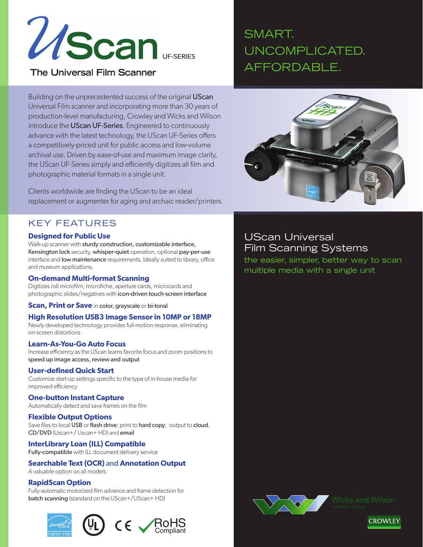

### **The Universal Film Scanner**

# SMART. UNCOMPLICATED. AFFORDABLE.

Building on the unprecedented success of the original UScan Universal Film scanner and incorporating more than 30 years of production-level manufacturing, Crowley and Wicks and Wilson introduce the UScan UF-Series. Engineered to continuously advance with the latest technology, the UScan UF-Series offers a competitively-priced unit for public access and low-volume archival use. Driven by ease-of-use and maximum image clarity, the UScan UF-Series simply and efficiently digitizes all film and photographic material formats in a single unit.

Clients worldwide are finding the UScan to be an ideal replacement or augmenter for aging and archaic reader/printers.

## KEY FEATURES

#### **Designed for Public Use**

Walk-up scanner with sturdy construction, customizable interface, Kensington lock security, whisper-quiet operation, optional pay-per-use interface and **low maintenance** requirements. Ideally suited to library, office and museum applications.

#### **On-demand Multi-format Scanning**

Digitizes roll microfilm, microfiche, aperture cards, microcards and photographic slides/negatives with icon-driven touch-screen interface

**Scan, Print or Save** in color, grayscale or bi-tonal

#### **High Resolution USB3 Image Sensor in 10MP or 18MP**

Newly developed technology provides full-motion response, eliminating on-screen distortions

#### **Learn-As-You-Go Auto Focus**

Increase efficiency as the UScan learns favorite focus and zoom positions to speed up image access, review and output

#### **User-defined Quick Start**

Customize start-up settings specific to the type of in-house media for improved efficiency

#### **One-button Instant Capture**

Automatically detect and save frames on the film

#### **Flexible Output Options**

Save files to local USB or flash drive; print to hard copy; output to cloud, CD/DVD (Uscan+/ Uscan+ HD) and email

#### **InterLibrary Loan (ILL) Compatible**

Fully-compatible with ILL document delivery service

### **Searchable Text (OCR)** and **Annotation Output**

A valuable option on all models

#### **RapidScan Option**

Fully-automatic motorized film advance and frame detection for batch scanning (standard on the UScan+/UScan+ HD)





# UScan Universal Film Scanning Systems

the easier, simpler, better way to scan multiple media with a single unit